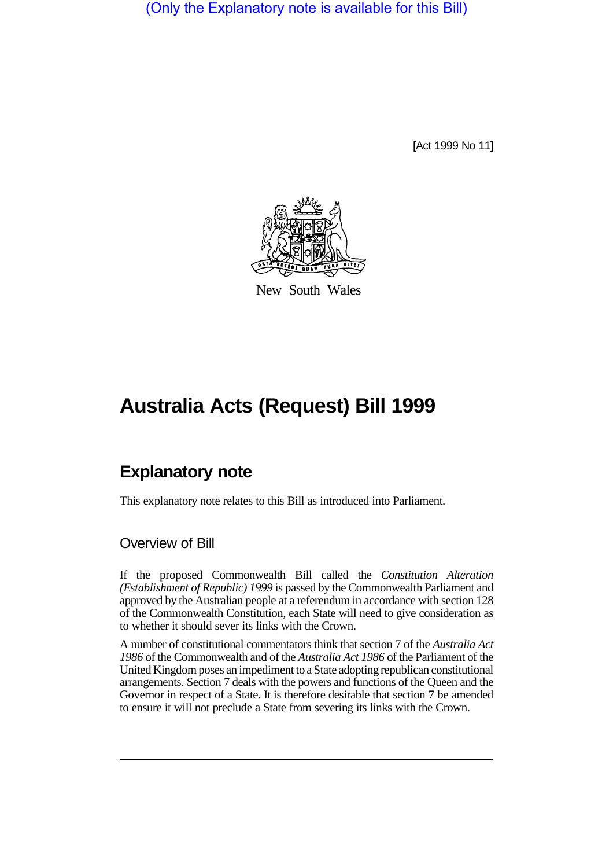(Only the Explanatory note is available for this Bill)

[Act 1999 No 11]



New South Wales

# **Australia Acts (Request) Bill 1999**

## **Explanatory note**

This explanatory note relates to this Bill as introduced into Parliament.

### Overview of Bill

If the proposed Commonwealth Bill called the *Constitution Alteration (Establishment of Republic) 1999* is passed by the Commonwealth Parliament and approved by the Australian people at a referendum in accordance with section 128 of the Commonwealth Constitution, each State will need to give consideration as to whether it should sever its links with the Crown.

A number of constitutional commentators think that section 7 of the *Australia Act 1986* of the Commonwealth and of the *Australia Act 1986* of the Parliament of the United Kingdom poses an impediment to a State adopting republican constitutional arrangements. Section 7 deals with the powers and functions of the Queen and the Governor in respect of a State. It is therefore desirable that section 7 be amended to ensure it will not preclude a State from severing its links with the Crown.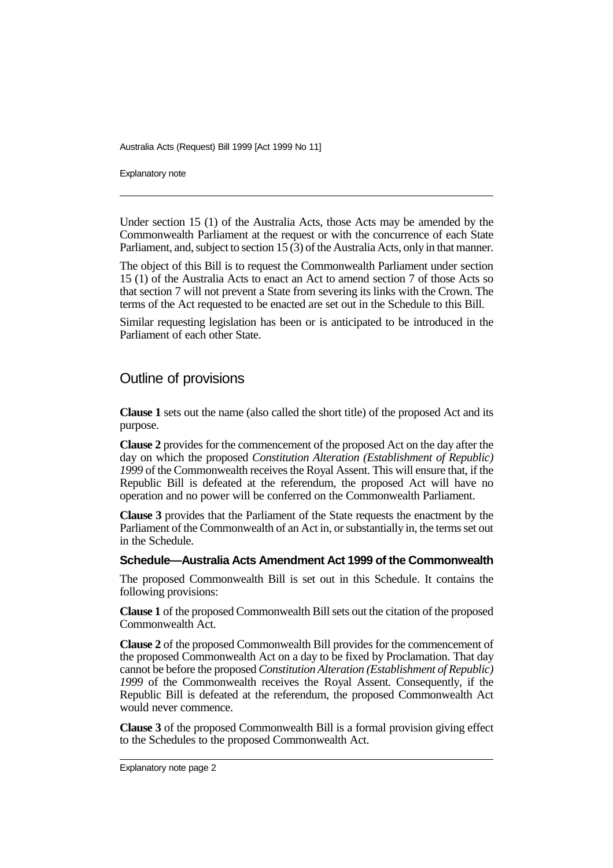Australia Acts (Request) Bill 1999 [Act 1999 No 11]

Explanatory note

Under section 15 (1) of the Australia Acts, those Acts may be amended by the Commonwealth Parliament at the request or with the concurrence of each State Parliament, and, subject to section 15 (3) of the Australia Acts, only in that manner.

The object of this Bill is to request the Commonwealth Parliament under section 15 (1) of the Australia Acts to enact an Act to amend section 7 of those Acts so that section 7 will not prevent a State from severing its links with the Crown. The terms of the Act requested to be enacted are set out in the Schedule to this Bill.

Similar requesting legislation has been or is anticipated to be introduced in the Parliament of each other State.

### Outline of provisions

**Clause 1** sets out the name (also called the short title) of the proposed Act and its purpose.

**Clause 2** provides for the commencement of the proposed Act on the day after the day on which the proposed *Constitution Alteration (Establishment of Republic) 1999* of the Commonwealth receives the Royal Assent. This will ensure that, if the Republic Bill is defeated at the referendum, the proposed Act will have no operation and no power will be conferred on the Commonwealth Parliament.

**Clause 3** provides that the Parliament of the State requests the enactment by the Parliament of the Commonwealth of an Act in, or substantially in, the terms set out in the Schedule.

#### **Schedule—Australia Acts Amendment Act 1999 of the Commonwealth**

The proposed Commonwealth Bill is set out in this Schedule. It contains the following provisions:

**Clause 1** of the proposed Commonwealth Bill sets out the citation of the proposed Commonwealth Act.

**Clause 2** of the proposed Commonwealth Bill provides for the commencement of the proposed Commonwealth Act on a day to be fixed by Proclamation. That day cannot be before the proposed *Constitution Alteration (Establishment of Republic) 1999* of the Commonwealth receives the Royal Assent. Consequently, if the Republic Bill is defeated at the referendum, the proposed Commonwealth Act would never commence.

**Clause 3** of the proposed Commonwealth Bill is a formal provision giving effect to the Schedules to the proposed Commonwealth Act.

Explanatory note page 2